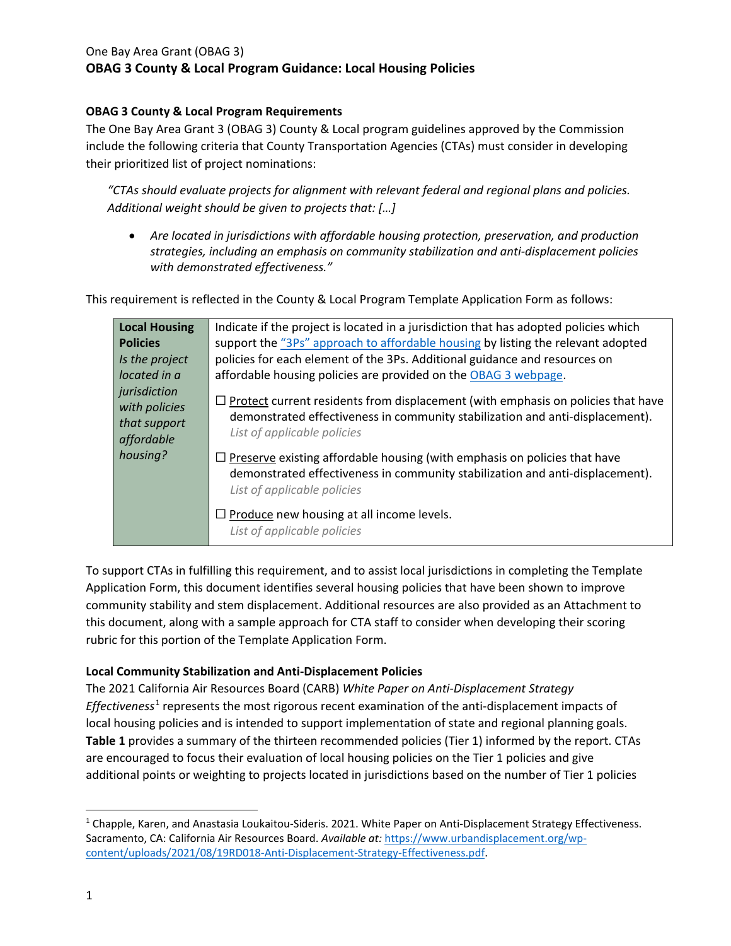### **OBAG 3 County & Local Program Requirements**

The One Bay Area Grant 3 (OBAG 3) County & Local program guidelines approved by the Commission include the following criteria that County Transportation Agencies (CTAs) must consider in developing their prioritized list of project nominations:

*"CTAs should evaluate projects for alignment with relevant federal and regional plans and policies. Additional weight should be given to projects that: […]*

• *Are located in jurisdictions with affordable housing protection, preservation, and production strategies, including an emphasis on community stabilization and anti-displacement policies with demonstrated effectiveness."* 

This requirement is reflected in the County & Local Program Template Application Form as follows:

| <b>Local Housing</b><br><b>Policies</b><br>Is the project<br>located in a<br>jurisdiction<br>with policies<br>that support | Indicate if the project is located in a jurisdiction that has adopted policies which<br>support the "3Ps" approach to affordable housing by listing the relevant adopted<br>policies for each element of the 3Ps. Additional guidance and resources on<br>affordable housing policies are provided on the OBAG 3 webpage.<br>$\Box$ Protect current residents from displacement (with emphasis on policies that have<br>demonstrated effectiveness in community stabilization and anti-displacement). |
|----------------------------------------------------------------------------------------------------------------------------|-------------------------------------------------------------------------------------------------------------------------------------------------------------------------------------------------------------------------------------------------------------------------------------------------------------------------------------------------------------------------------------------------------------------------------------------------------------------------------------------------------|
| affordable<br>housing?                                                                                                     | List of applicable policies<br>$\Box$ Preserve existing affordable housing (with emphasis on policies that have<br>demonstrated effectiveness in community stabilization and anti-displacement).<br>List of applicable policies<br>$\Box$ Produce new housing at all income levels.<br>List of applicable policies                                                                                                                                                                                    |

To support CTAs in fulfilling this requirement, and to assist local jurisdictions in completing the Template Application Form, this document identifies several housing policies that have been shown to improve community stability and stem displacement. Additional resources are also provided as an Attachment to this document, along with a sample approach for CTA staff to consider when developing their scoring rubric for this portion of the Template Application Form.

#### **Local Community Stabilization and Anti-Displacement Policies**

The 2021 California Air Resources Board (CARB) *White Paper on Anti-Displacement Strategy Effectiveness*[1](#page-0-0) represents the most rigorous recent examination of the anti-displacement impacts of local housing policies and is intended to support implementation of state and regional planning goals. **Table 1** provides a summary of the thirteen recommended policies (Tier 1) informed by the report. CTAs are encouraged to focus their evaluation of local housing policies on the Tier 1 policies and give additional points or weighting to projects located in jurisdictions based on the number of Tier 1 policies

<span id="page-0-0"></span> $1$  Chapple, Karen, and Anastasia Loukaitou-Sideris. 2021. White Paper on Anti-Displacement Strategy Effectiveness. Sacramento, CA: California Air Resources Board. *Available at:* [https://www.urbandisplacement.org/wp](https://www.urbandisplacement.org/wp-content/uploads/2021/08/19RD018-Anti-Displacement-Strategy-Effectiveness.pdf)[content/uploads/2021/08/19RD018-Anti-Displacement-Strategy-Effectiveness.pdf.](https://www.urbandisplacement.org/wp-content/uploads/2021/08/19RD018-Anti-Displacement-Strategy-Effectiveness.pdf)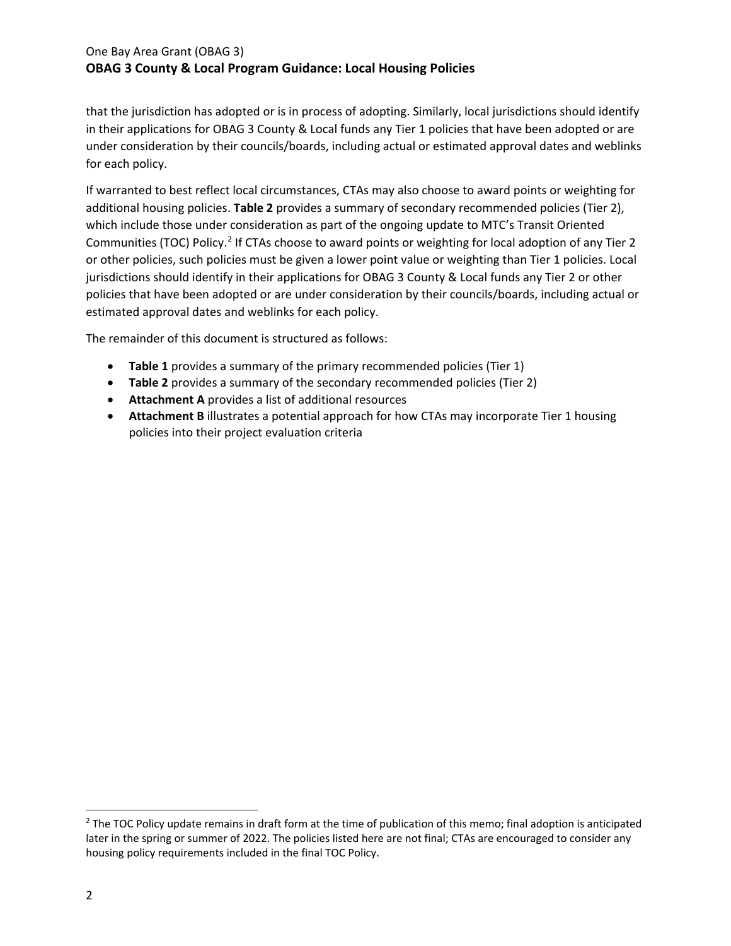that the jurisdiction has adopted or is in process of adopting. Similarly, local jurisdictions should identify in their applications for OBAG 3 County & Local funds any Tier 1 policies that have been adopted or are under consideration by their councils/boards, including actual or estimated approval dates and weblinks for each policy.

If warranted to best reflect local circumstances, CTAs may also choose to award points or weighting for additional housing policies. **Table 2** provides a summary of secondary recommended policies (Tier 2), which include those under consideration as part of the ongoing update to MTC's Transit Oriented Communities (TOC) Policy.<sup>[2](#page-1-0)</sup> If CTAs choose to award points or weighting for local adoption of any Tier 2 or other policies, such policies must be given a lower point value or weighting than Tier 1 policies. Local jurisdictions should identify in their applications for OBAG 3 County & Local funds any Tier 2 or other policies that have been adopted or are under consideration by their councils/boards, including actual or estimated approval dates and weblinks for each policy.

The remainder of this document is structured as follows:

- **Table 1** provides a summary of the primary recommended policies (Tier 1)
- **Table 2** provides a summary of the secondary recommended policies (Tier 2)
- **Attachment A** provides a list of additional resources
- **Attachment B** illustrates a potential approach for how CTAs may incorporate Tier 1 housing policies into their project evaluation criteria

<span id="page-1-0"></span> $<sup>2</sup>$  The TOC Policy update remains in draft form at the time of publication of this memo; final adoption is anticipated</sup> later in the spring or summer of 2022. The policies listed here are not final; CTAs are encouraged to consider any housing policy requirements included in the final TOC Policy.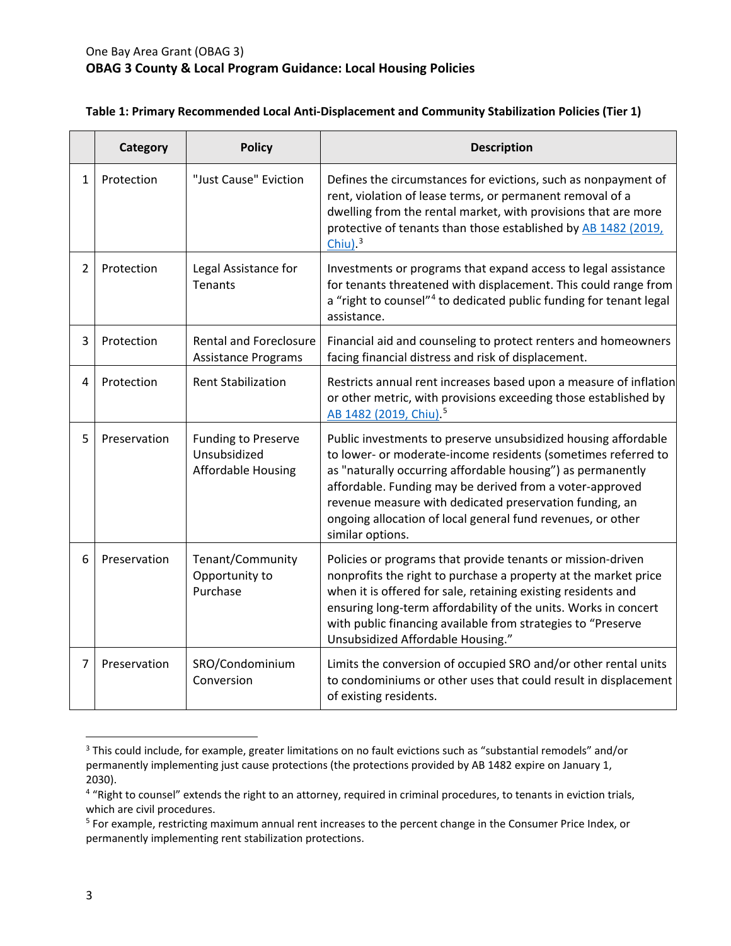### **Table 1: Primary Recommended Local Anti-Displacement and Community Stabilization Policies (Tier 1)**

|   | Category     | <b>Policy</b>                                                           | <b>Description</b>                                                                                                                                                                                                                                                                                                                                                                                       |  |  |  |
|---|--------------|-------------------------------------------------------------------------|----------------------------------------------------------------------------------------------------------------------------------------------------------------------------------------------------------------------------------------------------------------------------------------------------------------------------------------------------------------------------------------------------------|--|--|--|
| 1 | Protection   | "Just Cause" Eviction                                                   | Defines the circumstances for evictions, such as nonpayment of<br>rent, violation of lease terms, or permanent removal of a<br>dwelling from the rental market, with provisions that are more<br>protective of tenants than those established by AB 1482 (2019,<br>Chiu). $3$                                                                                                                            |  |  |  |
| 2 | Protection   | Legal Assistance for<br><b>Tenants</b>                                  | Investments or programs that expand access to legal assistance<br>for tenants threatened with displacement. This could range from<br>a "right to counsel" <sup>4</sup> to dedicated public funding for tenant legal<br>assistance.                                                                                                                                                                       |  |  |  |
| 3 | Protection   | <b>Rental and Foreclosure</b><br>Assistance Programs                    | Financial aid and counseling to protect renters and homeowners<br>facing financial distress and risk of displacement.                                                                                                                                                                                                                                                                                    |  |  |  |
| 4 | Protection   | <b>Rent Stabilization</b>                                               | Restricts annual rent increases based upon a measure of inflation<br>or other metric, with provisions exceeding those established by<br>AB 1482 (2019, Chiu). <sup>5</sup>                                                                                                                                                                                                                               |  |  |  |
| 5 | Preservation | <b>Funding to Preserve</b><br>Unsubsidized<br><b>Affordable Housing</b> | Public investments to preserve unsubsidized housing affordable<br>to lower- or moderate-income residents (sometimes referred to<br>as "naturally occurring affordable housing") as permanently<br>affordable. Funding may be derived from a voter-approved<br>revenue measure with dedicated preservation funding, an<br>ongoing allocation of local general fund revenues, or other<br>similar options. |  |  |  |
| 6 | Preservation | Tenant/Community<br>Opportunity to<br>Purchase                          | Policies or programs that provide tenants or mission-driven<br>nonprofits the right to purchase a property at the market price<br>when it is offered for sale, retaining existing residents and<br>ensuring long-term affordability of the units. Works in concert<br>with public financing available from strategies to "Preserve<br>Unsubsidized Affordable Housing."                                  |  |  |  |
| 7 | Preservation | SRO/Condominium<br>Conversion                                           | Limits the conversion of occupied SRO and/or other rental units<br>to condominiums or other uses that could result in displacement<br>of existing residents.                                                                                                                                                                                                                                             |  |  |  |

<span id="page-2-0"></span><sup>3</sup> This could include, for example, greater limitations on no fault evictions such as "substantial remodels" and/or permanently implementing just cause protections (the protections provided by AB 1482 expire on January 1, 2030).

<span id="page-2-1"></span><sup>4</sup> "Right to counsel" extends the right to an attorney, required in criminal procedures, to tenants in eviction trials, which are civil procedures.<br><sup>5</sup> For example, restricting maximum annual rent increases to the percent change in the Consumer Price Index, or

<span id="page-2-2"></span>permanently implementing rent stabilization protections.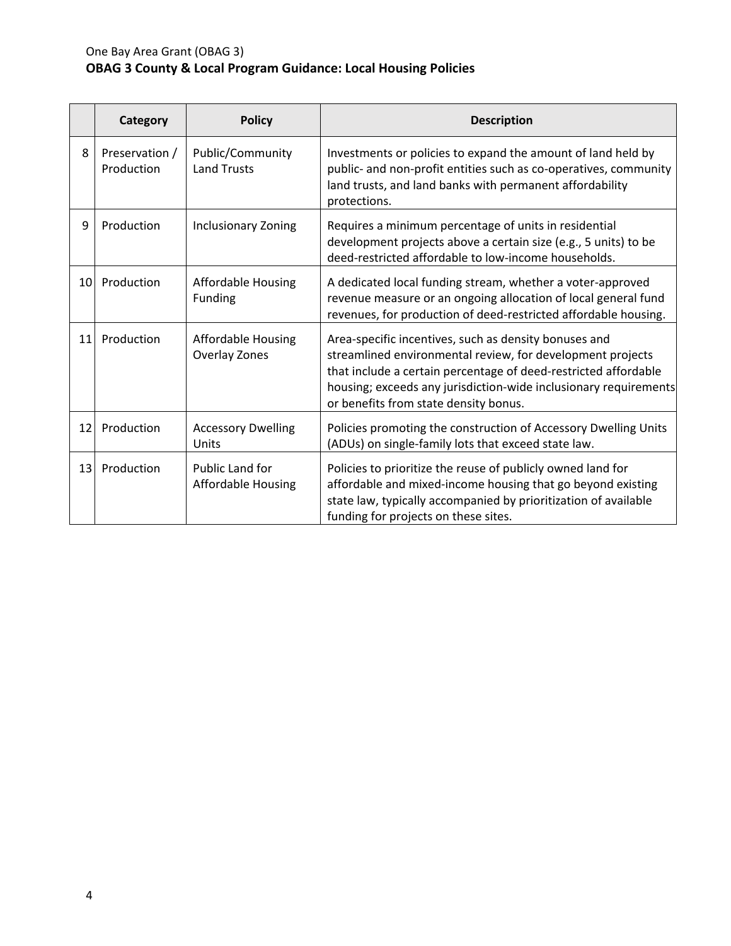|                 | <b>Category</b>              | <b>Policy</b>                                     | <b>Description</b>                                                                                                                                                                                                                                                                                  |
|-----------------|------------------------------|---------------------------------------------------|-----------------------------------------------------------------------------------------------------------------------------------------------------------------------------------------------------------------------------------------------------------------------------------------------------|
| 8               | Preservation /<br>Production | Public/Community<br><b>Land Trusts</b>            | Investments or policies to expand the amount of land held by<br>public- and non-profit entities such as co-operatives, community<br>land trusts, and land banks with permanent affordability<br>protections.                                                                                        |
| 9               | Production                   | Inclusionary Zoning                               | Requires a minimum percentage of units in residential<br>development projects above a certain size (e.g., 5 units) to be<br>deed-restricted affordable to low-income households.                                                                                                                    |
| 10 <sup>1</sup> | Production                   | <b>Affordable Housing</b><br>Funding              | A dedicated local funding stream, whether a voter-approved<br>revenue measure or an ongoing allocation of local general fund<br>revenues, for production of deed-restricted affordable housing.                                                                                                     |
| 11              | Production                   | <b>Affordable Housing</b><br><b>Overlay Zones</b> | Area-specific incentives, such as density bonuses and<br>streamlined environmental review, for development projects<br>that include a certain percentage of deed-restricted affordable<br>housing; exceeds any jurisdiction-wide inclusionary requirements<br>or benefits from state density bonus. |
| 12 <sub>l</sub> | Production                   | <b>Accessory Dwelling</b><br>Units                | Policies promoting the construction of Accessory Dwelling Units<br>(ADUs) on single-family lots that exceed state law.                                                                                                                                                                              |
| 13              | Production                   | Public Land for<br><b>Affordable Housing</b>      | Policies to prioritize the reuse of publicly owned land for<br>affordable and mixed-income housing that go beyond existing<br>state law, typically accompanied by prioritization of available<br>funding for projects on these sites.                                                               |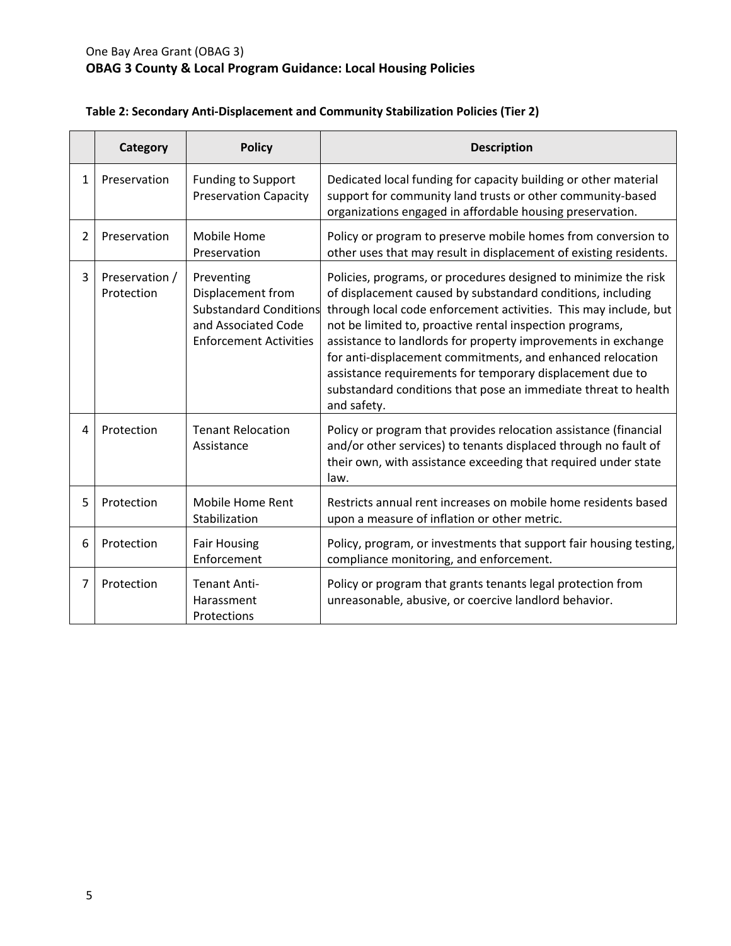|                | Category                     | <b>Policy</b>                                                                                                            | <b>Description</b>                                                                                                                                                                                                                                                                                                                                                                                                                                                                                                                          |
|----------------|------------------------------|--------------------------------------------------------------------------------------------------------------------------|---------------------------------------------------------------------------------------------------------------------------------------------------------------------------------------------------------------------------------------------------------------------------------------------------------------------------------------------------------------------------------------------------------------------------------------------------------------------------------------------------------------------------------------------|
| $\mathbf{1}$   | Preservation                 | <b>Funding to Support</b><br><b>Preservation Capacity</b>                                                                | Dedicated local funding for capacity building or other material<br>support for community land trusts or other community-based<br>organizations engaged in affordable housing preservation.                                                                                                                                                                                                                                                                                                                                                  |
| 2              | Preservation                 | Mobile Home<br>Preservation                                                                                              | Policy or program to preserve mobile homes from conversion to<br>other uses that may result in displacement of existing residents.                                                                                                                                                                                                                                                                                                                                                                                                          |
| 3              | Preservation /<br>Protection | Preventing<br>Displacement from<br><b>Substandard Conditions</b><br>and Associated Code<br><b>Enforcement Activities</b> | Policies, programs, or procedures designed to minimize the risk<br>of displacement caused by substandard conditions, including<br>through local code enforcement activities. This may include, but<br>not be limited to, proactive rental inspection programs,<br>assistance to landlords for property improvements in exchange<br>for anti-displacement commitments, and enhanced relocation<br>assistance requirements for temporary displacement due to<br>substandard conditions that pose an immediate threat to health<br>and safety. |
| 4              | Protection                   | <b>Tenant Relocation</b><br>Assistance                                                                                   | Policy or program that provides relocation assistance (financial<br>and/or other services) to tenants displaced through no fault of<br>their own, with assistance exceeding that required under state<br>law.                                                                                                                                                                                                                                                                                                                               |
| 5              | Protection                   | Mobile Home Rent<br>Stabilization                                                                                        | Restricts annual rent increases on mobile home residents based<br>upon a measure of inflation or other metric.                                                                                                                                                                                                                                                                                                                                                                                                                              |
| 6              | Protection                   | <b>Fair Housing</b><br>Enforcement                                                                                       | Policy, program, or investments that support fair housing testing,<br>compliance monitoring, and enforcement.                                                                                                                                                                                                                                                                                                                                                                                                                               |
| $\overline{7}$ | Protection                   | <b>Tenant Anti-</b><br>Harassment<br>Protections                                                                         | Policy or program that grants tenants legal protection from<br>unreasonable, abusive, or coercive landlord behavior.                                                                                                                                                                                                                                                                                                                                                                                                                        |

## **Table 2: Secondary Anti-Displacement and Community Stabilization Policies (Tier 2)**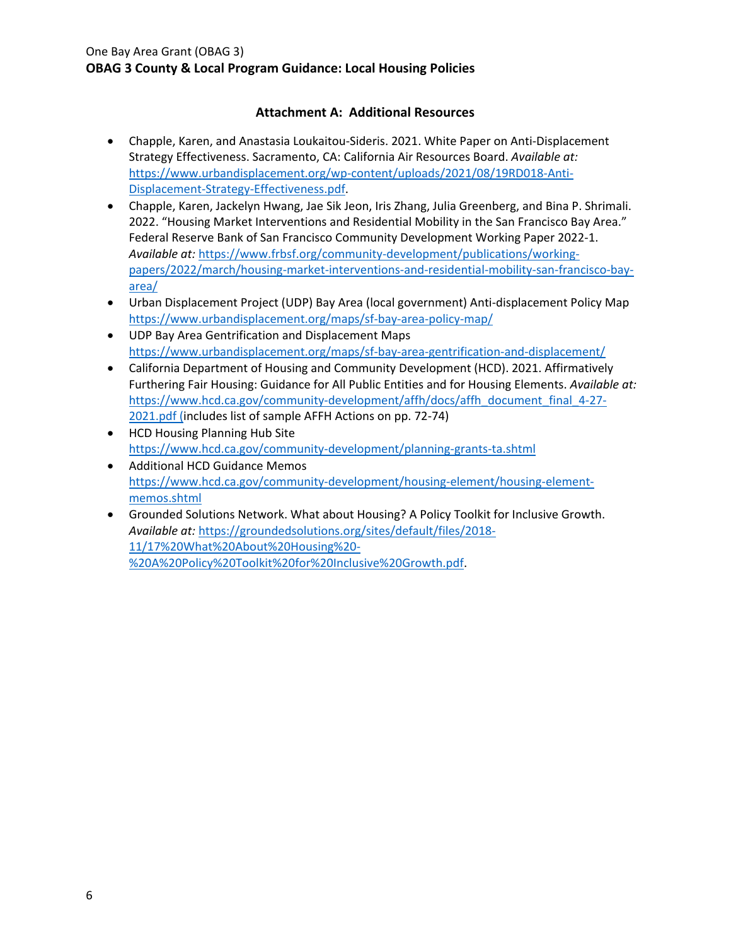### **Attachment A: Additional Resources**

- Chapple, Karen, and Anastasia Loukaitou-Sideris. 2021. White Paper on Anti-Displacement Strategy Effectiveness. Sacramento, CA: California Air Resources Board. *Available at:* [https://www.urbandisplacement.org/wp-content/uploads/2021/08/19RD018-Anti-](https://www.urbandisplacement.org/wp-content/uploads/2021/08/19RD018-Anti-Displacement-Strategy-Effectiveness.pdf)[Displacement-Strategy-Effectiveness.pdf.](https://www.urbandisplacement.org/wp-content/uploads/2021/08/19RD018-Anti-Displacement-Strategy-Effectiveness.pdf)
- Chapple, Karen, Jackelyn Hwang, Jae Sik Jeon, Iris Zhang, Julia Greenberg, and Bina P. Shrimali. 2022. "Housing Market Interventions and Residential Mobility in the San Francisco Bay Area." Federal Reserve Bank of San Francisco Community Development Working Paper 2022-1. *Available at:* [https://www.frbsf.org/community-development/publications/working](https://www.frbsf.org/community-development/publications/working-papers/2022/march/housing-market-interventions-and-residential-mobility-san-francisco-bay-area/)[papers/2022/march/housing-market-interventions-and-residential-mobility-san-francisco-bay](https://www.frbsf.org/community-development/publications/working-papers/2022/march/housing-market-interventions-and-residential-mobility-san-francisco-bay-area/)[area/](https://www.frbsf.org/community-development/publications/working-papers/2022/march/housing-market-interventions-and-residential-mobility-san-francisco-bay-area/)
- Urban Displacement Project (UDP) Bay Area (local government) Anti-displacement Policy Map <https://www.urbandisplacement.org/maps/sf-bay-area-policy-map/>
- UDP Bay Area Gentrification and Displacement Maps <https://www.urbandisplacement.org/maps/sf-bay-area-gentrification-and-displacement/>
- California Department of Housing and Community Development (HCD). 2021. Affirmatively Furthering Fair Housing: Guidance for All Public Entities and for Housing Elements. *Available at:* [https://www.hcd.ca.gov/community-development/affh/docs/affh\\_document\\_final\\_4-27-](https://www.hcd.ca.gov/community-development/affh/docs/affh_document_final_4-27-2021.pdf) [2021.pdf](https://www.hcd.ca.gov/community-development/affh/docs/affh_document_final_4-27-2021.pdf) (includes list of sample AFFH Actions on pp. 72-74)
- HCD Housing Planning Hub Site <https://www.hcd.ca.gov/community-development/planning-grants-ta.shtml>
- Additional HCD Guidance Memos [https://www.hcd.ca.gov/community-development/housing-element/housing-element](https://www.hcd.ca.gov/community-development/housing-element/housing-element-memos.shtml)[memos.shtml](https://www.hcd.ca.gov/community-development/housing-element/housing-element-memos.shtml)
- Grounded Solutions Network. What about Housing? A Policy Toolkit for Inclusive Growth. *Available at:* [https://groundedsolutions.org/sites/default/files/2018-](https://groundedsolutions.org/sites/default/files/2018-11/17%20What%20About%20Housing%20-%20A%20Policy%20Toolkit%20for%20Inclusive%20Growth.pdf) [11/17%20What%20About%20Housing%20-](https://groundedsolutions.org/sites/default/files/2018-11/17%20What%20About%20Housing%20-%20A%20Policy%20Toolkit%20for%20Inclusive%20Growth.pdf) [%20A%20Policy%20Toolkit%20for%20Inclusive%20Growth.pdf.](https://groundedsolutions.org/sites/default/files/2018-11/17%20What%20About%20Housing%20-%20A%20Policy%20Toolkit%20for%20Inclusive%20Growth.pdf)